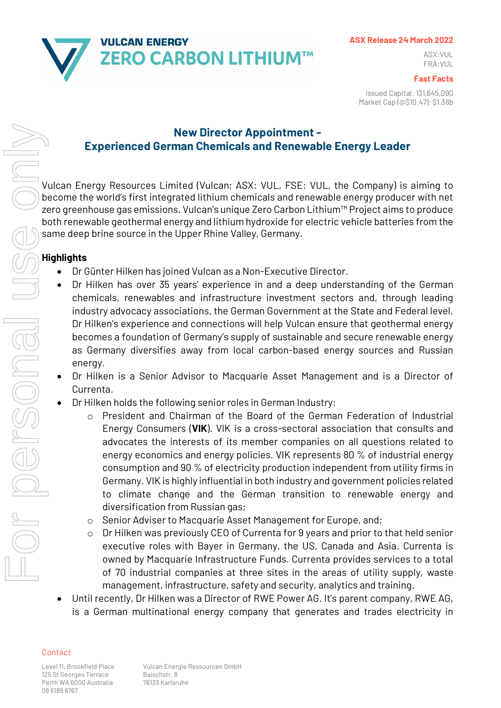

### **ASX Release 24 March 2022**

ASX:VUL FRA:VUL

#### **Fast Facts**

Issued Capital: 131,645,090 Market Cap (@\$10.47): \$1.38b

# **New Director Appointment - Experienced German Chemicals and Renewable Energy Leader**

Vulcan Energy Resources Limited (Vulcan; ASX: VUL, FSE: VUL, the Company) is aiming to become the world's first integrated lithium chemicals and renewable energy producer with net zero greenhouse gas emissions. Vulcan's unique Zero Carbon Lithium™ Project aims to produce both renewable geothermal energy and lithium hydroxide for electric vehicle batteries from the same deep brine source in the Upper Rhine Valley, Germany.

# **Highlights**

- Dr Günter Hilken has joined Vulcan as a Non-Executive Director.
- Dr Hilken has over 35 years' experience in and a deep understanding of the German chemicals, renewables and infrastructure investment sectors and, through leading industry advocacy associations, the German Government at the State and Federal level. Dr Hilken's experience and connections will help Vulcan ensure that geothermal energy becomes a foundation of Germany's supply of sustainable and secure renewable energy as Germany diversifies away from local carbon-based energy sources and Russian energy.
- Dr Hilken is a Senior Advisor to Macquarie Asset Management and is a Director of Currenta.
- Dr Hilken holds the following senior roles in German Industry:
	- o President and Chairman of the Board of the German Federation of Industrial Energy Consumers (**VIK**). VIK is a cross-sectoral association that consults and advocates the interests of its member companies on all questions related to energy economics and energy policies. VIK represents 80 % of industrial energy consumption and 90 % of electricity production independent from utility firms in Germany. VIK is highly influential in both industry and government policies related to climate change and the German transition to renewable energy and diversification from Russian gas;
	- o Senior Adviser to Macquarie Asset Management for Europe, and;
	- o Dr Hilken was previously CEO of Currenta for 9 years and prior to that held senior executive roles with Bayer in Germany, the US, Canada and Asia. Currenta is owned by Macquarie Infrastructure Funds. Currenta provides services to a total of 70 industrial companies at three sites in the areas of utility supply, waste management, infrastructure, safety and security, analytics and training.
- Until recently, Dr Hilken was a Director of RWE Power AG. It's parent company, RWE AG, is a German multinational energy company that generates and trades electricity in

# Contact

125 St Georges Terrace Baischstr. 8 Perth WA 6000 Australia 76133 Karlsruhe 08 6189 8767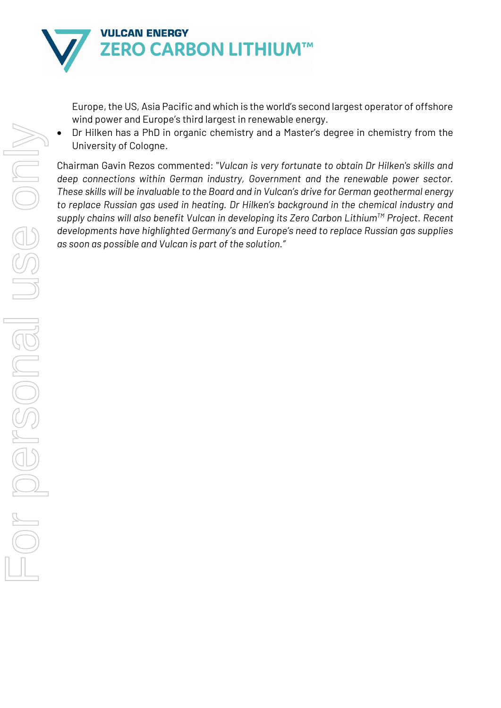

Europe, the US, Asia Pacific and which is the world's second largest operator of offshore wind power and Europe's third largest in renewable energy.

• Dr Hilken has a PhD in organic chemistry and a Master's degree in chemistry from the University of Cologne.

Chairman Gavin Rezos commented: "*Vulcan is very fortunate to obtain Dr Hilken's skills and deep connections within German industry, Government and the renewable power sector. These skills will be invaluable to the Board and in Vulcan's drive for German geothermal energy to replace Russian gas used in heating. Dr Hilken's background in the chemical industry and supply chains will also benefit Vulcan in developing its Zero Carbon LithiumTM Project. Recent developments have highlighted Germany's and Europe's need to replace Russian gas supplies as soon as possible and Vulcan is part of the solution."*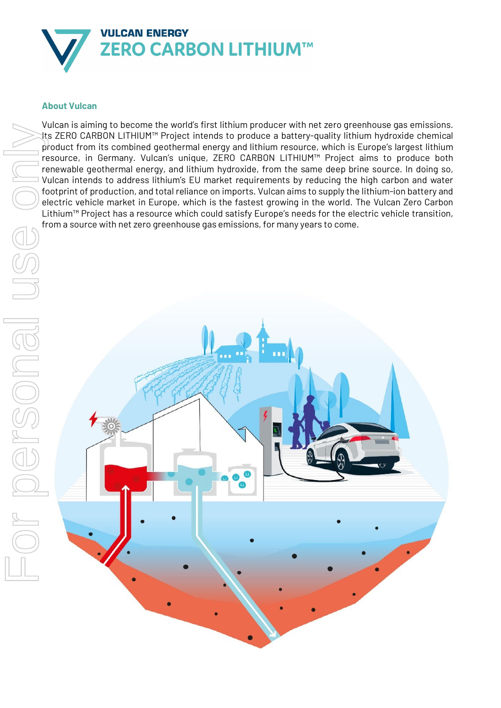

## **About Vulcan**

Vulcan is aiming to become the world's first lithium producer with net zero greenhouse gas emissions. Its ZERO CARBON LITHIUM™ Project intends to produce a battery-quality lithium hydroxide chemical product from its combined geothermal energy and lithium resource, which is Europe's largest lithium resource, in Germany. Vulcan's unique, ZERO CARBON LITHIUM™ Project aims to produce both renewable geothermal energy, and lithium hydroxide, from the same deep brine source. In doing so, Vulcan intends to address lithium's EU market requirements by reducing the high carbon and water footprint of production, and total reliance on imports. Vulcan aims to supply the lithium-ion battery and electric vehicle market in Europe, which is the fastest growing in the world. The Vulcan Zero Carbon Lithium™ Project has a resource which could satisfy Europe's needs for the electric vehicle transition,

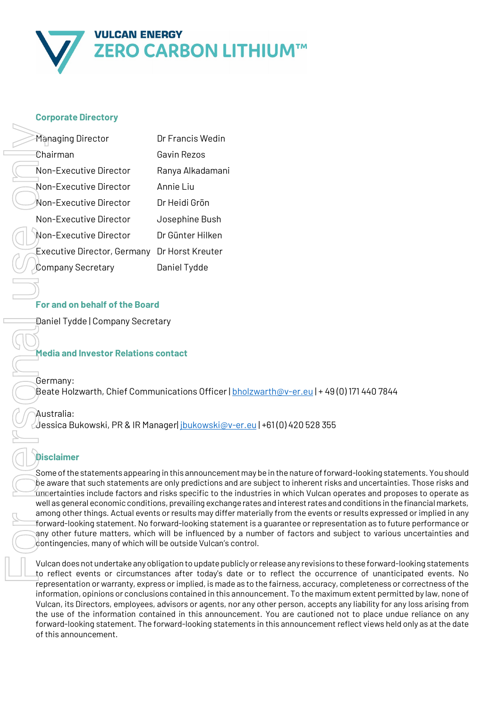

## **Corporate Directory**

| Managing Director           | Dr Francis Wedin |
|-----------------------------|------------------|
| £hairman                    | Gavin Rezos      |
| Non-Executive Director      | Ranya Alkadamani |
| Non-Executive Director      | Annie Liu        |
| Non-Executive Director      | Dr Heidi Grön    |
| Non-Executive Director      | Josephine Bush   |
| Non-Fxecutive Director      | Dr Günter Hilken |
| Executive Director, Germany | Dr Horst Kreuter |
| Company Secretary           | Daniel Tydde     |

# **For and on behalf of the Board**

Daniel Tydde | Company Secretary

## **Media and Investor Relations contact**

Germany: Beate Holzwarth, Chief Communications Officer | [bholzwarth@v-er.eu](mailto:bholzwarth@v-er.eu) | + 49 (0) 171 440 7844

#### Australia:

Jessica Bukowski, PR & IR Manager[| jbukowski@v-er.eu](mailto:jbukowski@v-er.eu) | +61 (0) 420 528 355

# **Disclaimer**

Some of the statements appearing in this announcement may be in the nature of forward-looking statements. You should be aware that such statements are only predictions and are subject to inherent risks and uncertainties. Those risks and uncertainties include factors and risks specific to the industries in which Vulcan operates and proposes to operate as well as general economic conditions, prevailing exchange rates and interest rates and conditions in the financial markets, among other things. Actual events or results may differ materially from the events or results expressed or implied in any forward-looking statement. No forward-looking statement is a guarantee or representation as to future performance or any other future matters, which will be influenced by a number of factors and subject to various uncertainties and  $\partial_t$ ontingencies, many of which will be outside Vulcan's control.

Vulcan does not undertake any obligation to update publicly or release any revisions to these forward-looking statements to reflect events or circumstances after today's date or to reflect the occurrence of unanticipated events. No representation or warranty, express or implied, is made as to the fairness, accuracy, completeness or correctness of the information, opinions or conclusions contained in this announcement. To the maximum extent permitted by law, none of Vulcan, its Directors, employees, advisors or agents, nor any other person, accepts any liability for any loss arising from the use of the information contained in this announcement. You are cautioned not to place undue reliance on any forward-looking statement. The forward-looking statements in this announcement reflect views held only as at the date